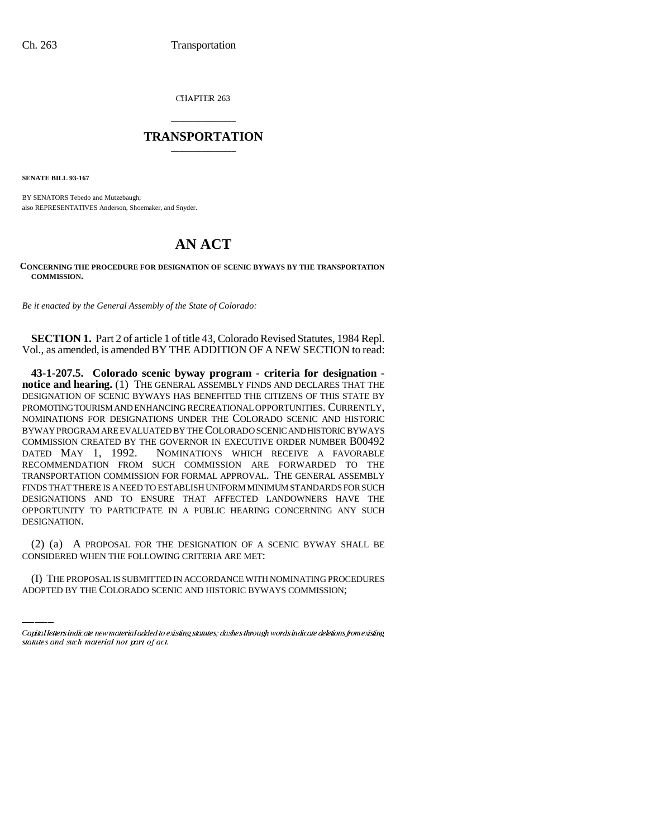CHAPTER 263

## \_\_\_\_\_\_\_\_\_\_\_\_\_\_\_ **TRANSPORTATION** \_\_\_\_\_\_\_\_\_\_\_\_\_\_\_

**SENATE BILL 93-167**

BY SENATORS Tebedo and Mutzebaugh; also REPRESENTATIVES Anderson, Shoemaker, and Snyder.

## **AN ACT**

## **CONCERNING THE PROCEDURE FOR DESIGNATION OF SCENIC BYWAYS BY THE TRANSPORTATION COMMISSION.**

*Be it enacted by the General Assembly of the State of Colorado:*

**SECTION 1.** Part 2 of article 1 of title 43, Colorado Revised Statutes, 1984 Repl. Vol., as amended, is amended BY THE ADDITION OF A NEW SECTION to read:

**43-1-207.5. Colorado scenic byway program - criteria for designation notice and hearing.** (1) THE GENERAL ASSEMBLY FINDS AND DECLARES THAT THE DESIGNATION OF SCENIC BYWAYS HAS BENEFITED THE CITIZENS OF THIS STATE BY PROMOTING TOURISM AND ENHANCING RECREATIONAL OPPORTUNITIES. CURRENTLY, NOMINATIONS FOR DESIGNATIONS UNDER THE COLORADO SCENIC AND HISTORIC BYWAY PROGRAM ARE EVALUATED BY THE COLORADO SCENIC AND HISTORIC BYWAYS COMMISSION CREATED BY THE GOVERNOR IN EXECUTIVE ORDER NUMBER B00492 DATED MAY 1, 1992. NOMINATIONS WHICH RECEIVE A FAVORABLE RECOMMENDATION FROM SUCH COMMISSION ARE FORWARDED TO THE TRANSPORTATION COMMISSION FOR FORMAL APPROVAL. THE GENERAL ASSEMBLY FINDS THAT THERE IS A NEED TO ESTABLISH UNIFORM MINIMUM STANDARDS FOR SUCH DESIGNATIONS AND TO ENSURE THAT AFFECTED LANDOWNERS HAVE THE OPPORTUNITY TO PARTICIPATE IN A PUBLIC HEARING CONCERNING ANY SUCH DESIGNATION.

(2) (a) A PROPOSAL FOR THE DESIGNATION OF A SCENIC BYWAY SHALL BE CONSIDERED WHEN THE FOLLOWING CRITERIA ARE MET:

(I) THE PROPOSAL IS SUBMITTED IN ACCORDANCE WITH NOMINATING PROCEDURES ADOPTED BY THE COLORADO SCENIC AND HISTORIC BYWAYS COMMISSION;

Capital letters indicate new material added to existing statutes; dashes through words indicate deletions from existing statutes and such material not part of act.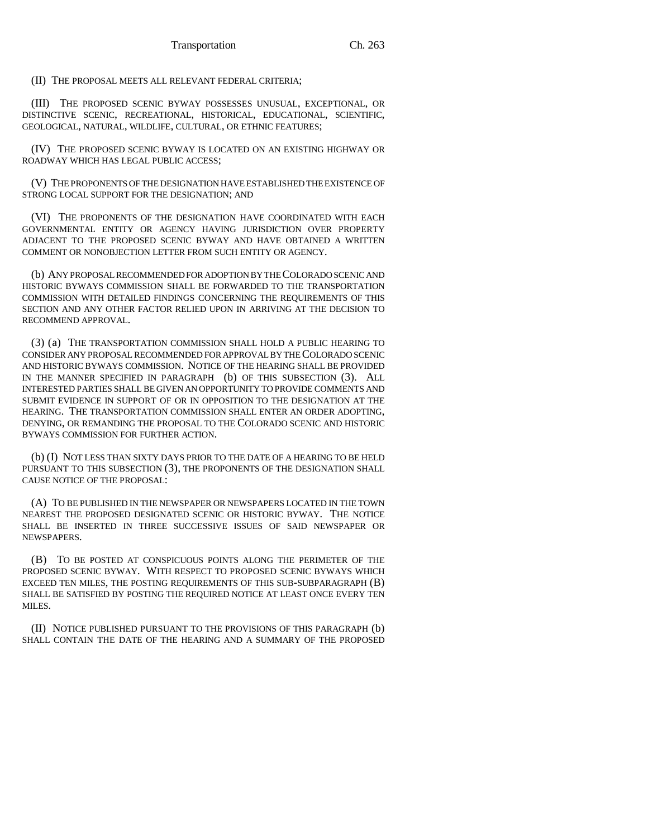(II) THE PROPOSAL MEETS ALL RELEVANT FEDERAL CRITERIA;

(III) THE PROPOSED SCENIC BYWAY POSSESSES UNUSUAL, EXCEPTIONAL, OR DISTINCTIVE SCENIC, RECREATIONAL, HISTORICAL, EDUCATIONAL, SCIENTIFIC, GEOLOGICAL, NATURAL, WILDLIFE, CULTURAL, OR ETHNIC FEATURES;

(IV) THE PROPOSED SCENIC BYWAY IS LOCATED ON AN EXISTING HIGHWAY OR ROADWAY WHICH HAS LEGAL PUBLIC ACCESS;

(V) THE PROPONENTS OF THE DESIGNATION HAVE ESTABLISHED THE EXISTENCE OF STRONG LOCAL SUPPORT FOR THE DESIGNATION; AND

(VI) THE PROPONENTS OF THE DESIGNATION HAVE COORDINATED WITH EACH GOVERNMENTAL ENTITY OR AGENCY HAVING JURISDICTION OVER PROPERTY ADJACENT TO THE PROPOSED SCENIC BYWAY AND HAVE OBTAINED A WRITTEN COMMENT OR NONOBJECTION LETTER FROM SUCH ENTITY OR AGENCY.

(b) ANY PROPOSAL RECOMMENDED FOR ADOPTION BY THE COLORADO SCENIC AND HISTORIC BYWAYS COMMISSION SHALL BE FORWARDED TO THE TRANSPORTATION COMMISSION WITH DETAILED FINDINGS CONCERNING THE REQUIREMENTS OF THIS SECTION AND ANY OTHER FACTOR RELIED UPON IN ARRIVING AT THE DECISION TO RECOMMEND APPROVAL.

(3) (a) THE TRANSPORTATION COMMISSION SHALL HOLD A PUBLIC HEARING TO CONSIDER ANY PROPOSAL RECOMMENDED FOR APPROVAL BY THE COLORADO SCENIC AND HISTORIC BYWAYS COMMISSION. NOTICE OF THE HEARING SHALL BE PROVIDED IN THE MANNER SPECIFIED IN PARAGRAPH (b) OF THIS SUBSECTION (3). ALL INTERESTED PARTIES SHALL BE GIVEN AN OPPORTUNITY TO PROVIDE COMMENTS AND SUBMIT EVIDENCE IN SUPPORT OF OR IN OPPOSITION TO THE DESIGNATION AT THE HEARING. THE TRANSPORTATION COMMISSION SHALL ENTER AN ORDER ADOPTING, DENYING, OR REMANDING THE PROPOSAL TO THE COLORADO SCENIC AND HISTORIC BYWAYS COMMISSION FOR FURTHER ACTION.

(b) (I) NOT LESS THAN SIXTY DAYS PRIOR TO THE DATE OF A HEARING TO BE HELD PURSUANT TO THIS SUBSECTION (3), THE PROPONENTS OF THE DESIGNATION SHALL CAUSE NOTICE OF THE PROPOSAL:

(A) TO BE PUBLISHED IN THE NEWSPAPER OR NEWSPAPERS LOCATED IN THE TOWN NEAREST THE PROPOSED DESIGNATED SCENIC OR HISTORIC BYWAY. THE NOTICE SHALL BE INSERTED IN THREE SUCCESSIVE ISSUES OF SAID NEWSPAPER OR NEWSPAPERS.

(B) TO BE POSTED AT CONSPICUOUS POINTS ALONG THE PERIMETER OF THE PROPOSED SCENIC BYWAY. WITH RESPECT TO PROPOSED SCENIC BYWAYS WHICH EXCEED TEN MILES, THE POSTING REQUIREMENTS OF THIS SUB-SUBPARAGRAPH (B) SHALL BE SATISFIED BY POSTING THE REQUIRED NOTICE AT LEAST ONCE EVERY TEN MILES.

(II) NOTICE PUBLISHED PURSUANT TO THE PROVISIONS OF THIS PARAGRAPH (b) SHALL CONTAIN THE DATE OF THE HEARING AND A SUMMARY OF THE PROPOSED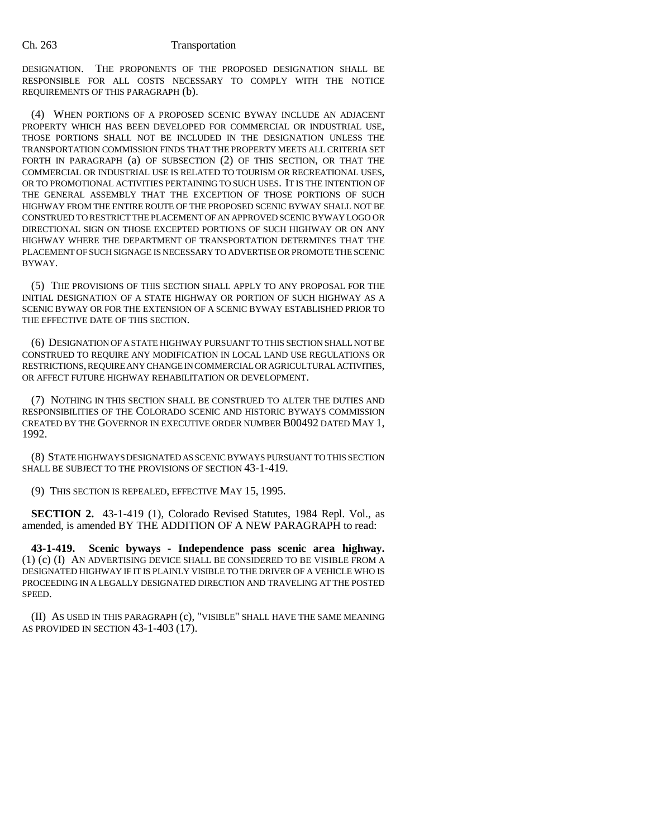## Ch. 263 Transportation

DESIGNATION. THE PROPONENTS OF THE PROPOSED DESIGNATION SHALL BE RESPONSIBLE FOR ALL COSTS NECESSARY TO COMPLY WITH THE NOTICE REQUIREMENTS OF THIS PARAGRAPH (b).

(4) WHEN PORTIONS OF A PROPOSED SCENIC BYWAY INCLUDE AN ADJACENT PROPERTY WHICH HAS BEEN DEVELOPED FOR COMMERCIAL OR INDUSTRIAL USE, THOSE PORTIONS SHALL NOT BE INCLUDED IN THE DESIGNATION UNLESS THE TRANSPORTATION COMMISSION FINDS THAT THE PROPERTY MEETS ALL CRITERIA SET FORTH IN PARAGRAPH (a) OF SUBSECTION (2) OF THIS SECTION, OR THAT THE COMMERCIAL OR INDUSTRIAL USE IS RELATED TO TOURISM OR RECREATIONAL USES, OR TO PROMOTIONAL ACTIVITIES PERTAINING TO SUCH USES. IT IS THE INTENTION OF THE GENERAL ASSEMBLY THAT THE EXCEPTION OF THOSE PORTIONS OF SUCH HIGHWAY FROM THE ENTIRE ROUTE OF THE PROPOSED SCENIC BYWAY SHALL NOT BE CONSTRUED TO RESTRICT THE PLACEMENT OF AN APPROVED SCENIC BYWAY LOGO OR DIRECTIONAL SIGN ON THOSE EXCEPTED PORTIONS OF SUCH HIGHWAY OR ON ANY HIGHWAY WHERE THE DEPARTMENT OF TRANSPORTATION DETERMINES THAT THE PLACEMENT OF SUCH SIGNAGE IS NECESSARY TO ADVERTISE OR PROMOTE THE SCENIC BYWAY.

(5) THE PROVISIONS OF THIS SECTION SHALL APPLY TO ANY PROPOSAL FOR THE INITIAL DESIGNATION OF A STATE HIGHWAY OR PORTION OF SUCH HIGHWAY AS A SCENIC BYWAY OR FOR THE EXTENSION OF A SCENIC BYWAY ESTABLISHED PRIOR TO THE EFFECTIVE DATE OF THIS SECTION.

(6) DESIGNATION OF A STATE HIGHWAY PURSUANT TO THIS SECTION SHALL NOT BE CONSTRUED TO REQUIRE ANY MODIFICATION IN LOCAL LAND USE REGULATIONS OR RESTRICTIONS, REQUIRE ANY CHANGE IN COMMERCIAL OR AGRICULTURAL ACTIVITIES, OR AFFECT FUTURE HIGHWAY REHABILITATION OR DEVELOPMENT.

(7) NOTHING IN THIS SECTION SHALL BE CONSTRUED TO ALTER THE DUTIES AND RESPONSIBILITIES OF THE COLORADO SCENIC AND HISTORIC BYWAYS COMMISSION CREATED BY THE GOVERNOR IN EXECUTIVE ORDER NUMBER B00492 DATED MAY 1, 1992.

(8) STATE HIGHWAYS DESIGNATED AS SCENIC BYWAYS PURSUANT TO THIS SECTION SHALL BE SUBJECT TO THE PROVISIONS OF SECTION 43-1-419.

(9) THIS SECTION IS REPEALED, EFFECTIVE MAY 15, 1995.

**SECTION 2.** 43-1-419 (1), Colorado Revised Statutes, 1984 Repl. Vol., as amended, is amended BY THE ADDITION OF A NEW PARAGRAPH to read:

**43-1-419. Scenic byways - Independence pass scenic area highway.** (1) (c) (I) AN ADVERTISING DEVICE SHALL BE CONSIDERED TO BE VISIBLE FROM A DESIGNATED HIGHWAY IF IT IS PLAINLY VISIBLE TO THE DRIVER OF A VEHICLE WHO IS PROCEEDING IN A LEGALLY DESIGNATED DIRECTION AND TRAVELING AT THE POSTED SPEED.

(II) AS USED IN THIS PARAGRAPH (c), "VISIBLE" SHALL HAVE THE SAME MEANING AS PROVIDED IN SECTION 43-1-403 (17).